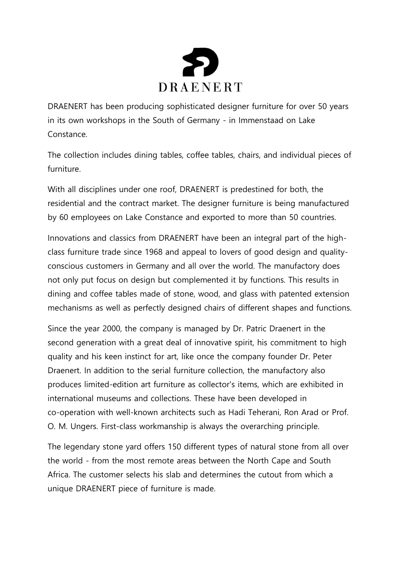

DRAENERT has been producing sophisticated designer furniture for over 50 years in its own workshops in the South of Germany - in Immenstaad on Lake Constance.

The collection includes dining tables, coffee tables, chairs, and individual pieces of furniture.

With all disciplines under one roof, DRAENERT is predestined for both, the residential and the contract market. The designer furniture is being manufactured by 60 employees on Lake Constance and exported to more than 50 countries.

Innovations and classics from DRAENERT have been an integral part of the highclass furniture trade since 1968 and appeal to lovers of good design and qualityconscious customers in Germany and all over the world. The manufactory does not only put focus on design but complemented it by functions. This results in dining and coffee tables made of stone, wood, and glass with patented extension mechanisms as well as perfectly designed chairs of different shapes and functions.

Since the year 2000, the company is managed by Dr. Patric Draenert in the second generation with a great deal of innovative spirit, his commitment to high quality and his keen instinct for art, like once the company founder Dr. Peter Draenert. In addition to the serial furniture collection, the manufactory also produces limited-edition art furniture as collector's items, which are exhibited in international museums and collections. These have been developed in co-operation with well-known architects such as Hadi Teherani, Ron Arad or Prof. O. M. Ungers. First-class workmanship is always the overarching principle.

The legendary stone yard offers 150 different types of natural stone from all over the world - from the most remote areas between the North Cape and South Africa. The customer selects his slab and determines the cutout from which a unique DRAENERT piece of furniture is made.